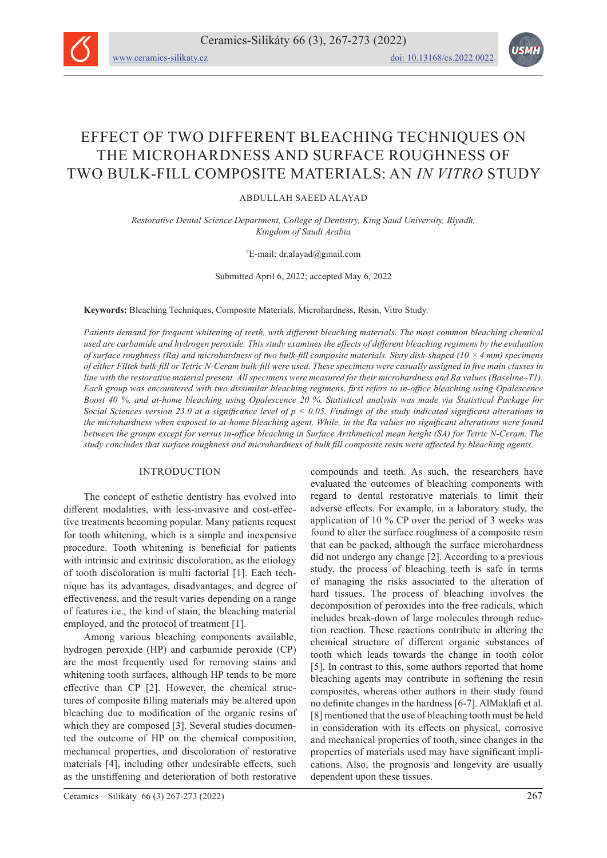

# EFFECT OF TWO DIFFERENT BLEACHING TECHNIQUES ON THE MICROHARDNESS AND SURFACE ROUGHNESS OF TWO BULK-FILL COMPOSITE MATERIALS: AN *IN VITRO* STUDY

ABDULLAH SAEED ALAYAD

*Restorative Dental Science Department, College of Dentistry, King Saud University, Riyadh, Kingdom of Saudi Arabia*

## # E-mail: dr.alayad@gmail.com

Submitted April 6, 2022; accepted May 6, 2022

**Keywords:** Bleaching Techniques, Composite Materials, Microhardness, Resin, Vitro Study.

*Patients demand for frequent whitening of teeth, with different bleaching materials. The most common bleaching chemical used are carbamide and hydrogen peroxide. This study examines the effects of different bleaching regimens by the evaluation of surface roughness (Ra) and microhardness of two bulk-fill composite materials. Sixty disk-shaped (10 × 4 mm) specimens of either Filtek bulk-fill or Tetric N-Ceram bulk-fill were used. These specimens were casually assigned in five main classes in line with the restorative material present. All specimens were measured for their microhardness and Ra values (Baseline–T1). Each group was encountered with two dissimilar bleaching regimens, first refers to in-office bleaching using Opalescence Boost 40 %, and at-home bleaching using Opalescence 20 %. Statistical analysis was made via Statistical Package for Social Sciences version 23.0 at a significance level of p < 0.05. Findings of the study indicated significant alterations in the microhardness when exposed to at-home bleaching agent. While, in the Ra values no significant alterations were found between the groups except for versus in-office bleaching in Surface Arithmetical mean height (SA) for Tetric N-Ceram. The study concludes that surface roughness and microhardness of bulk fill composite resin were affected by bleaching agents.*

# INTRODUCTION

The concept of esthetic dentistry has evolved into different modalities, with less-invasive and cost-effective treatments becoming popular. Many patients request for tooth whitening, which is a simple and inexpensive procedure. Tooth whitening is beneficial for patients with intrinsic and extrinsic discoloration, as the etiology of tooth discoloration is multi factorial [1]. Each technique has its advantages, disadvantages, and degree of effectiveness, and the result varies depending on a range of features i.e., the kind of stain, the bleaching material employed, and the protocol of treatment [1].

Among various bleaching components available, hydrogen peroxide (HP) and carbamide peroxide (CP) are the most frequently used for removing stains and whitening tooth surfaces, although HP tends to be more effective than CP [2]. However, the chemical structures of composite filling materials may be altered upon bleaching due to modification of the organic resins of which they are composed [3]. Several studies documented the outcome of HP on the chemical composition, mechanical properties, and discoloration of restorative materials [4], including other undesirable effects, such as the unstiffening and deterioration of both restorative

compounds and teeth. As such, the researchers have evaluated the outcomes of bleaching components with regard to dental restorative materials to limit their adverse effects. For example, in a laboratory study, the application of 10 % CP over the period of 3 weeks was found to alter the surface roughness of a composite resin that can be packed, although the surface microhardness did not undergo any change [2]. According to a previous study, the process of bleaching teeth is safe in terms of managing the risks associated to the alteration of hard tissues. The process of bleaching involves the decomposition of peroxides into the free radicals, which includes break-down of large molecules through reduction reaction. These reactions contribute in altering the chemical structure of different organic substances of tooth which leads towards the change in tooth color [5]. In contrast to this, some authors reported that home bleaching agents may contribute in softening the resin composites, whereas other authors in their study found no definite changes in the hardness [6-7]. AlMaklafi et al. [8] mentioned that the use of bleaching tooth must be held in consideration with its effects on physical, corrosive and mechanical properties of tooth, since changes in the properties of materials used may have significant implications. Also, the prognosis and longevity are usually dependent upon these tissues.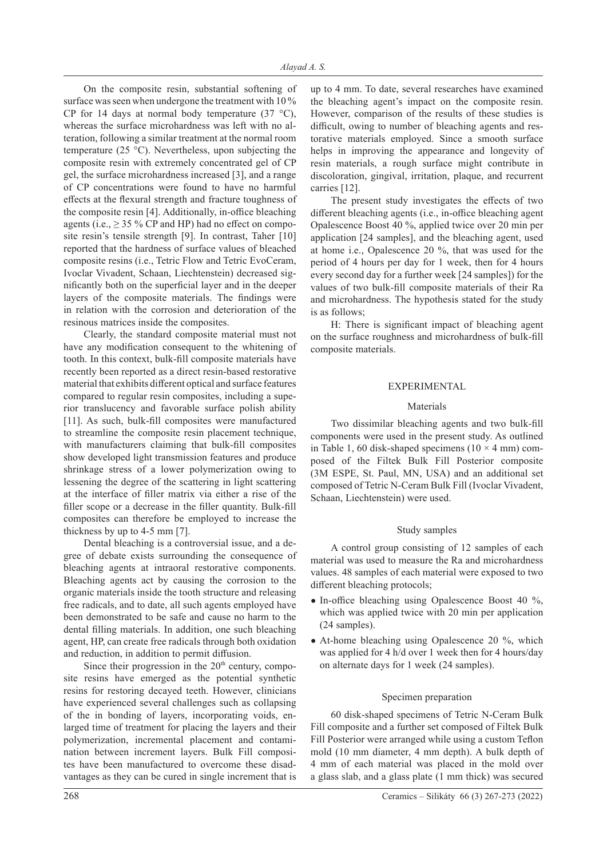On the composite resin, substantial softening of surface was seen when undergone the treatment with 10 % CP for 14 days at normal body temperature  $(37 \text{ °C})$ , whereas the surface microhardness was left with no alteration, following a similar treatment at the normal room temperature (25 °C). Nevertheless, upon subjecting the composite resin with extremely concentrated gel of CP gel, the surface microhardness increased [3], and a range of CP concentrations were found to have no harmful effects at the flexural strength and fracture toughness of the composite resin [4]. Additionally, in-office bleaching agents (i.e.,  $\geq$  35 % CP and HP) had no effect on composite resin's tensile strength [9]. In contrast, Taher [10] reported that the hardness of surface values of bleached composite resins (i.e., Tetric Flow and Tetric EvoCeram, Ivoclar Vivadent, Schaan, Liechtenstein) decreased significantly both on the superficial layer and in the deeper layers of the composite materials. The findings were in relation with the corrosion and deterioration of the resinous matrices inside the composites.

Clearly, the standard composite material must not have any modification consequent to the whitening of tooth. In this context, bulk-fill composite materials have recently been reported as a direct resin-based restorative material that exhibits different optical and surface features compared to regular resin composites, including a superior translucency and favorable surface polish ability [11]. As such, bulk-fill composites were manufactured to streamline the composite resin placement technique, with manufacturers claiming that bulk-fill composites show developed light transmission features and produce shrinkage stress of a lower polymerization owing to lessening the degree of the scattering in light scattering at the interface of filler matrix via either a rise of the filler scope or a decrease in the filler quantity. Bulk-fill composites can therefore be employed to increase the thickness by up to 4-5 mm [7].

Dental bleaching is a controversial issue, and a degree of debate exists surrounding the consequence of bleaching agents at intraoral restorative components. Bleaching agents act by causing the corrosion to the organic materials inside the tooth structure and releasing free radicals, and to date, all such agents employed have been demonstrated to be safe and cause no harm to the dental filling materials. In addition, one such bleaching agent, HP, can create free radicals through both oxidation and reduction, in addition to permit diffusion.

Since their progression in the  $20<sup>th</sup>$  century, composite resins have emerged as the potential synthetic resins for restoring decayed teeth. However, clinicians have experienced several challenges such as collapsing of the in bonding of layers, incorporating voids, enlarged time of treatment for placing the layers and their polymerization, incremental placement and contamination between increment layers. Bulk Fill composites have been manufactured to overcome these disadvantages as they can be cured in single increment that is

up to 4 mm. To date, several researches have examined the bleaching agent's impact on the composite resin. However, comparison of the results of these studies is difficult, owing to number of bleaching agents and restorative materials employed. Since a smooth surface helps in improving the appearance and longevity of resin materials, a rough surface might contribute in discoloration, gingival, irritation, plaque, and recurrent carries [12].

The present study investigates the effects of two different bleaching agents (i.e., in-office bleaching agent Opalescence Boost 40 %, applied twice over 20 min per application [24 samples], and the bleaching agent, used at home i.e., Opalescence 20 %, that was used for the period of 4 hours per day for 1 week, then for 4 hours every second day for a further week [24 samples]) for the values of two bulk-fill composite materials of their Ra and microhardness. The hypothesis stated for the study is as follows;

H: There is significant impact of bleaching agent on the surface roughness and microhardness of bulk-fill composite materials.

# EXPERIMENTAL

# Materials

Two dissimilar bleaching agents and two bulk-fill components were used in the present study. As outlined in Table 1, 60 disk-shaped specimens  $(10 \times 4 \text{ mm})$  composed of the Filtek Bulk Fill Posterior composite (3M ESPE, St. Paul, MN, USA) and an additional set composed of Tetric N-Ceram Bulk Fill (Ivoclar Vivadent, Schaan, Liechtenstein) were used.

# Study samples

A control group consisting of 12 samples of each material was used to measure the Ra and microhardness values. 48 samples of each material were exposed to two different bleaching protocols;

- $\bullet$  In-office bleaching using Opalescence Boost 40 %, which was applied twice with 20 min per application (24 samples).
- $\bullet$  At-home bleaching using Opalescence 20 %, which was applied for 4 h/d over 1 week then for 4 hours/day on alternate days for 1 week (24 samples).

## Specimen preparation

60 disk-shaped specimens of Tetric N-Ceram Bulk Fill composite and a further set composed of Filtek Bulk Fill Posterior were arranged while using a custom Teflon mold (10 mm diameter, 4 mm depth). A bulk depth of 4 mm of each material was placed in the mold over a glass slab, and a glass plate (1 mm thick) was secured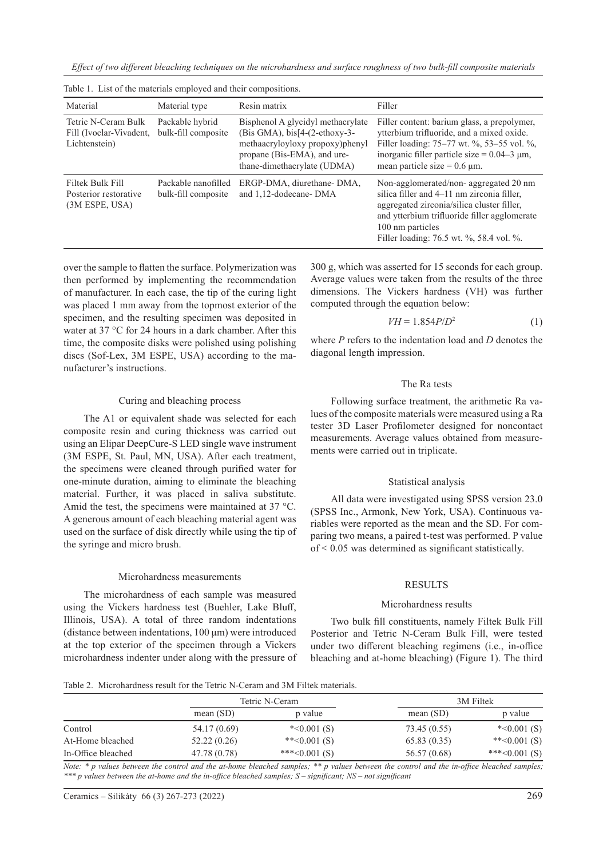*Effect of two different bleaching techniques on the microhardness and surface roughness of two bulk-fill composite materials*

| Material                                                        | Material type                              | Resin matrix                                                                                                                                                              | Filler                                                                                                                                                                                                                                            |
|-----------------------------------------------------------------|--------------------------------------------|---------------------------------------------------------------------------------------------------------------------------------------------------------------------------|---------------------------------------------------------------------------------------------------------------------------------------------------------------------------------------------------------------------------------------------------|
| Tetric N-Ceram Bulk<br>Fill (Ivoclar-Vivadent,<br>Lichtenstein) | Packable hybrid<br>bulk-fill composite     | Bisphenol A glycidyl methacrylate<br>$(Bis GMA)$ , bis[4- $(2-ethoxy-3-$<br>methaacryloyloxy propoxy)phenyl<br>propane (Bis-EMA), and ure-<br>thane-dimethacrylate (UDMA) | Filler content: barium glass, a prepolymer,<br>ytterbium trifluoride, and a mixed oxide.<br>Filler loading: 75–77 wt. %, 53–55 vol. %,<br>inorganic filler particle size = $0.04-3 \mu m$ ,<br>mean particle size = $0.6 \mu$ m.                  |
| Filtek Bulk Fill<br>Posterior restorative<br>(3M ESPE, USA)     | Packable nanofilled<br>bulk-fill composite | ERGP-DMA, diurethane-DMA,<br>and 1,12-dodecane-DMA                                                                                                                        | Non-agglomerated/non-aggregated 20 nm<br>silica filler and 4–11 nm zirconia filler,<br>aggregated zirconia/silica cluster filler,<br>and ytterbium trifluoride filler agglomerate<br>100 nm particles<br>Filler loading: 76.5 wt. %, 58.4 vol. %. |

Table 1. List of the materials employed and their compositions.

over the sample to flatten the surface. Polymerization was then performed by implementing the recommendation of manufacturer. In each case, the tip of the curing light was placed 1 mm away from the topmost exterior of the specimen, and the resulting specimen was deposited in water at 37 °C for 24 hours in a dark chamber. After this time, the composite disks were polished using polishing discs (Sof-Lex, 3M ESPE, USA) according to the manufacturer's instructions.

# Curing and bleaching process

The A1 or equivalent shade was selected for each composite resin and curing thickness was carried out using an Elipar DeepCure-S LED single wave instrument (3M ESPE, St. Paul, MN, USA). After each treatment, the specimens were cleaned through purified water for one-minute duration, aiming to eliminate the bleaching material. Further, it was placed in saliva substitute. Amid the test, the specimens were maintained at 37 °C. A generous amount of each bleaching material agent was used on the surface of disk directly while using the tip of the syringe and micro brush.

## Microhardness measurements

The microhardness of each sample was measured using the Vickers hardness test (Buehler, Lake Bluff, Illinois, USA). A total of three random indentations (distance between indentations, 100 μm) were introduced at the top exterior of the specimen through a Vickers microhardness indenter under along with the pressure of

300 g, which was asserted for 15 seconds for each group. Average values were taken from the results of the three dimensions. The Vickers hardness (VH) was further computed through the equation below:

$$
VH = 1.854P/D^2\tag{1}
$$

where *P* refers to the indentation load and *D* denotes the diagonal length impression.

# The Ra tests

Following surface treatment, the arithmetic Ra values of the composite materials were measured using a Ra tester 3D Laser Profilometer designed for noncontact measurements. Average values obtained from measurements were carried out in triplicate.

## Statistical analysis

All data were investigated using SPSS version 23.0 (SPSS Inc., Armonk, New York, USA). Continuous variables were reported as the mean and the SD. For comparing two means, a paired t-test was performed. P value of < 0.05 was determined as significant statistically.

## RESULTS

#### Microhardness results

Two bulk fill constituents, namely Filtek Bulk Fill Posterior and Tetric N-Ceram Bulk Fill, were tested under two different bleaching regimens (i.e., in-office bleaching and at-home bleaching) (Figure 1). The third

Table 2. Microhardness result for the Tetric N-Ceram and 3M Filtek materials.

|                    | Tetric N-Ceram |                 | 3M Filtek    |                  |
|--------------------|----------------|-----------------|--------------|------------------|
|                    | mean $(SD)$    | p value         | mean $(SD)$  | p value          |
| Control            | 54.17 (0.69)   | $*<0.001(S)$    | 73.45 (0.55) | $*<0.001(S)$     |
| At-Home bleached   | 52.22(0.26)    | ** $<0.001(S)$  | 65.83(0.35)  | ** $< 0.001$ (S) |
| In-Office bleached | 47.78 (0.78)   | ***< $0.001(S)$ | 56.57 (0.68) | ***< $0.001(S)$  |

*Note: \* p values between the control and the at-home bleached samples; \*\* p values between the control and the in-office bleached samples; \*\*\* p values between the at-home and the in-office bleached samples; S – significant; NS – not significant*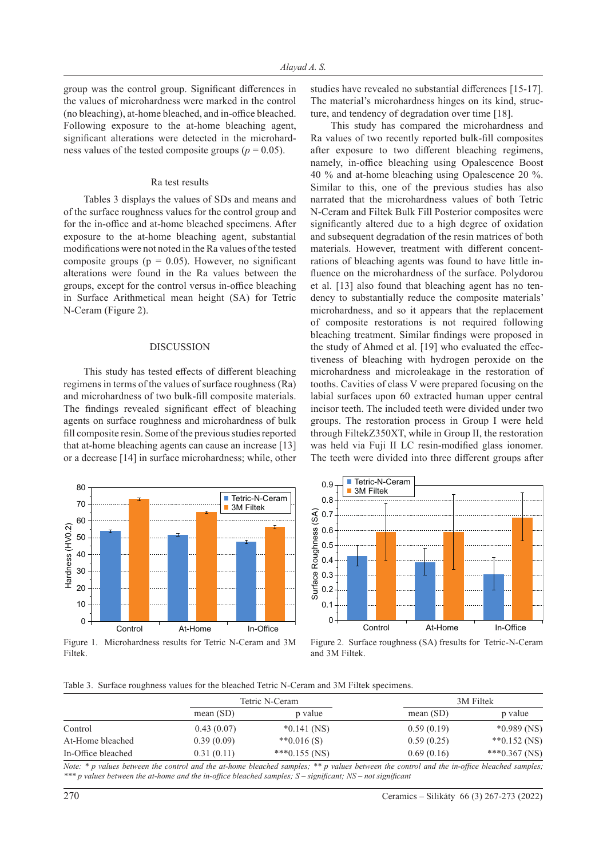group was the control group. Significant differences in the values of microhardness were marked in the control (no bleaching), at-home bleached, and in-office bleached. Following exposure to the at-home bleaching agent, significant alterations were detected in the microhardness values of the tested composite groups ( $p = 0.05$ ).

#### Ra test results

Tables 3 displays the values of SDs and means and of the surface roughness values for the control group and for the in-office and at-home bleached specimens. After exposure to the at-home bleaching agent, substantial modifications were not noted in the Ra values of the tested composite groups ( $p = 0.05$ ). However, no significant alterations were found in the Ra values between the groups, except for the control versus in-office bleaching in Surface Arithmetical mean height (SA) for Tetric N-Ceram (Figure 2).

### DISCUSSION

This study has tested effects of different bleaching regimens in terms of the values of surface roughness (Ra) and microhardness of two bulk-fill composite materials. The findings revealed significant effect of bleaching agents on surface roughness and microhardness of bulk fill composite resin. Some of the previous studies reported that at-home bleaching agents can cause an increase [13] or a decrease [14] in surface microhardness; while, other



Figure 1. Microhardness results for Tetric N-Ceram and 3M Filtek.

studies have revealed no substantial differences [15-17]. The material's microhardness hinges on its kind, structure, and tendency of degradation over time [18].

This study has compared the microhardness and Ra values of two recently reported bulk-fill composites after exposure to two different bleaching regimens, namely, in-office bleaching using Opalescence Boost 40 % and at-home bleaching using Opalescence 20 %. Similar to this, one of the previous studies has also narrated that the microhardness values of both Tetric N-Ceram and Filtek Bulk Fill Posterior composites were significantly altered due to a high degree of oxidation and subsequent degradation of the resin matrices of both materials. However, treatment with different concentrations of bleaching agents was found to have little influence on the microhardness of the surface. Polydorou et al. [13] also found that bleaching agent has no tendency to substantially reduce the composite materials' microhardness, and so it appears that the replacement of composite restorations is not required following bleaching treatment. Similar findings were proposed in the study of Ahmed et al. [19] who evaluated the effectiveness of bleaching with hydrogen peroxide on the microhardness and microleakage in the restoration of tooths. Cavities of class V were prepared focusing on the labial surfaces upon 60 extracted human upper central incisor teeth. The included teeth were divided under two groups. The restoration process in Group I were held through FiltekZ350XT, while in Group II, the restoration was held via Fuji II LC resin-modified glass ionomer. The teeth were divided into three different groups after



Figure 2. Surface roughness (SA) fresults for Tetric-N-Ceram and 3M Filtek.

Table 3. Surface roughness values for the bleached Tetric N-Ceram and 3M Filtek specimens.

|                    | Tetric N-Ceram |                  | 3M Filtek   |                  |
|--------------------|----------------|------------------|-------------|------------------|
|                    | mean $(SD)$    | p value          | mean $(SD)$ | p value          |
| Control            | 0.43(0.07)     | $*0.141$ (NS)    | 0.59(0.19)  | $*0.989$ (NS)    |
| At-Home bleached   | 0.39(0.09)     | ** $0.016(S)$    | 0.59(0.25)  | $*$ $0.152$ (NS) |
| In-Office bleached | 0.31(0.11)     | *** $0.155$ (NS) | 0.69(0.16)  | *** $0.367$ (NS) |

*Note: \* p values between the control and the at-home bleached samples; \*\* p values between the control and the in-office bleached samples; \*\*\* p values between the at-home and the in-office bleached samples; S – significant; NS – not significant*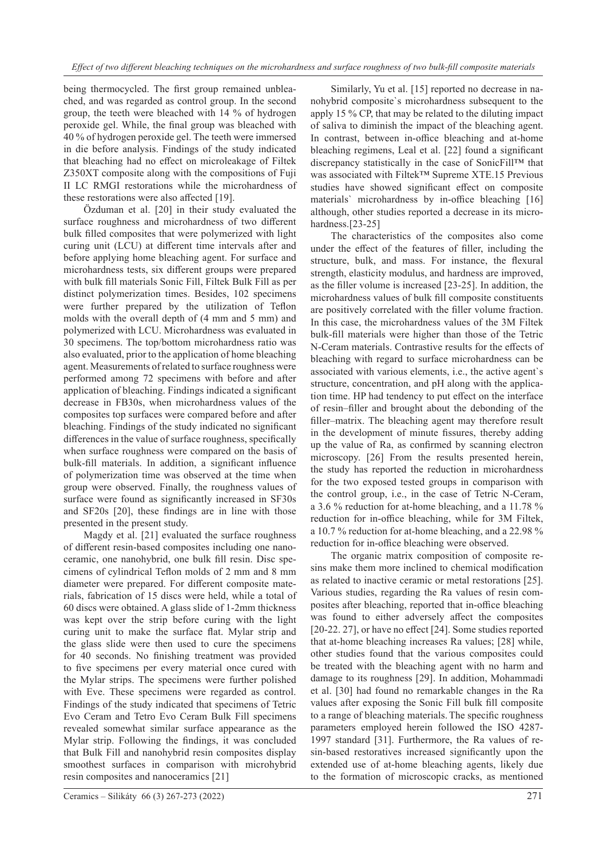being thermocycled. The first group remained unbleached, and was regarded as control group. In the second group, the teeth were bleached with 14 % of hydrogen peroxide gel. While, the final group was bleached with 40 % of hydrogen peroxide gel. The teeth were immersed in die before analysis. Findings of the study indicated that bleaching had no effect on microleakage of Filtek Z350XT composite along with the compositions of Fuji II LC RMGI restorations while the microhardness of these restorations were also affected [19].

Özduman et al. [20] in their study evaluated the surface roughness and microhardness of two different bulk filled composites that were polymerized with light curing unit (LCU) at different time intervals after and before applying home bleaching agent. For surface and microhardness tests, six different groups were prepared with bulk fill materials Sonic Fill, Filtek Bulk Fill as per distinct polymerization times. Besides, 102 specimens were further prepared by the utilization of Teflon molds with the overall depth of (4 mm and 5 mm) and polymerized with LCU. Microhardness was evaluated in 30 specimens. The top/bottom microhardness ratio was also evaluated, prior to the application of home bleaching agent. Measurements of related to surface roughness were performed among 72 specimens with before and after application of bleaching. Findings indicated a significant decrease in FB30s, when microhardness values of the composites top surfaces were compared before and after bleaching. Findings of the study indicated no significant differences in the value of surface roughness, specifically when surface roughness were compared on the basis of bulk-fill materials. In addition, a significant influence of polymerization time was observed at the time when group were observed. Finally, the roughness values of surface were found as significantly increased in SF30s and SF20s [20], these findings are in line with those presented in the present study.

Magdy et al. [21] evaluated the surface roughness of different resin-based composites including one nanoceramic, one nanohybrid, one bulk fill resin. Disc specimens of cylindrical Teflon molds of 2 mm and 8 mm diameter were prepared. For different composite materials, fabrication of 15 discs were held, while a total of 60 discs were obtained. A glass slide of 1-2mm thickness was kept over the strip before curing with the light curing unit to make the surface flat. Mylar strip and the glass slide were then used to cure the specimens for 40 seconds. No finishing treatment was provided to five specimens per every material once cured with the Mylar strips. The specimens were further polished with Eve. These specimens were regarded as control. Findings of the study indicated that specimens of Tetric Evo Ceram and Tetro Evo Ceram Bulk Fill specimens revealed somewhat similar surface appearance as the Mylar strip. Following the findings, it was concluded that Bulk Fill and nanohybrid resin composites display smoothest surfaces in comparison with microhybrid resin composites and nanoceramics [21]

Similarly, Yu et al. [15] reported no decrease in nanohybrid composite`s microhardness subsequent to the apply 15 % CP, that may be related to the diluting impact of saliva to diminish the impact of the bleaching agent. In contrast, between in-office bleaching and at-home bleaching regimens, Leal et al. [22] found a significant discrepancy statistically in the case of SonicFill™ that was associated with Filtek™ Supreme XTE.15 Previous studies have showed significant effect on composite materials` microhardness by in-office bleaching [16] although, other studies reported a decrease in its microhardness.<sup>[23-25]</sup>

The characteristics of the composites also come under the effect of the features of filler, including the structure, bulk, and mass. For instance, the flexural strength, elasticity modulus, and hardness are improved, as the filler volume is increased [23-25]. In addition, the microhardness values of bulk fill composite constituents are positively correlated with the filler volume fraction. In this case, the microhardness values of the 3M Filtek bulk-fill materials were higher than those of the Tetric N-Ceram materials. Contrastive results for the effects of bleaching with regard to surface microhardness can be associated with various elements, i.e., the active agent`s structure, concentration, and pH along with the application time. HP had tendency to put effect on the interface of resin–filler and brought about the debonding of the filler–matrix. The bleaching agent may therefore result in the development of minute fissures, thereby adding up the value of Ra, as confirmed by scanning electron microscopy. [26] From the results presented herein, the study has reported the reduction in microhardness for the two exposed tested groups in comparison with the control group, i.e., in the case of Tetric N-Ceram, a 3.6 % reduction for at-home bleaching, and a 11.78 % reduction for in-office bleaching, while for 3M Filtek, a 10.7 % reduction for at-home bleaching, and a 22.98 % reduction for in-office bleaching were observed.

The organic matrix composition of composite resins make them more inclined to chemical modification as related to inactive ceramic or metal restorations [25]. Various studies, regarding the Ra values of resin composites after bleaching, reported that in-office bleaching was found to either adversely affect the composites [20-22. 27], or have no effect [24]. Some studies reported that at-home bleaching increases Ra values; [28] while, other studies found that the various composites could be treated with the bleaching agent with no harm and damage to its roughness [29]. In addition, Mohammadi et al. [30] had found no remarkable changes in the Ra values after exposing the Sonic Fill bulk fill composite to a range of bleaching materials.The specific roughness parameters employed herein followed the ISO 4287- 1997 standard [31]. Furthermore, the Ra values of resin-based restoratives increased significantly upon the extended use of at-home bleaching agents, likely due to the formation of microscopic cracks, as mentioned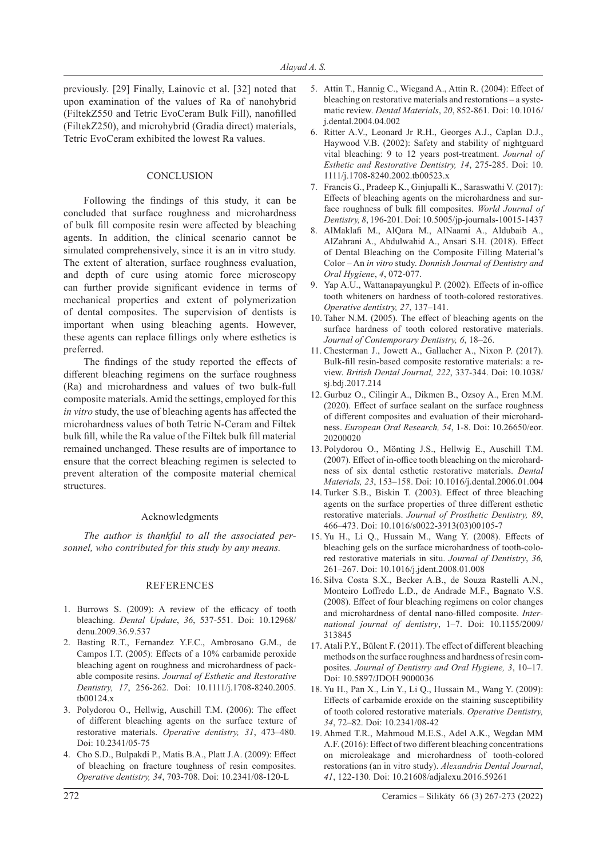previously. [29] Finally, Lainovic et al. [32] noted that upon examination of the values of Ra of nanohybrid (FiltekZ550 and Tetric EvoCeram Bulk Fill), nanofilled (FiltekZ250), and microhybrid (Gradia direct) materials, Tetric EvoCeram exhibited the lowest Ra values.

# **CONCLUSION**

Following the findings of this study, it can be concluded that surface roughness and microhardness of bulk fill composite resin were affected by bleaching agents. In addition, the clinical scenario cannot be simulated comprehensively, since it is an in vitro study. The extent of alteration, surface roughness evaluation, and depth of cure using atomic force microscopy can further provide significant evidence in terms of mechanical properties and extent of polymerization of dental composites. The supervision of dentists is important when using bleaching agents. However, these agents can replace fillings only where esthetics is preferred.

The findings of the study reported the effects of different bleaching regimens on the surface roughness (Ra) and microhardness and values of two bulk-full composite materials. Amid the settings, employed for this *in vitro* study, the use of bleaching agents has affected the microhardness values of both Tetric N-Ceram and Filtek bulk fill, while the Ra value of the Filtek bulk fill material remained unchanged. These results are of importance to ensure that the correct bleaching regimen is selected to prevent alteration of the composite material chemical structures.

# Acknowledgments

*The author is thankful to all the associated personnel, who contributed for this study by any means.*

## REFERENCES

- 1. Burrows S. (2009): A review of the efficacy of tooth bleaching. *Dental Update*, *36*, 537-551. Doi: 10.12968/ denu.2009.36.9.537
- 2. Basting R.T., Fernandez Y.F.C., Ambrosano G.M., de Campos I.T. (2005): Effects of a 10% carbamide peroxide bleaching agent on roughness and microhardness of packable composite resins. *Journal of Esthetic and Restorative Dentistry, 17*, 256-262. Doi: 10.1111/j.1708-8240.2005. tb00124.x
- 3. Polydorou O., Hellwig, Auschill T.M. (2006): The effect of different bleaching agents on the surface texture of restorative materials. *Operative dentistry, 31*, 473–480. Doi: 10.2341/05-75
- 4. Cho S.D., Bulpakdi P., Matis B.A., Platt J.A. (2009): Effect of bleaching on fracture toughness of resin composites. *Operative dentistry, 34*, 703-708. Doi: 10.2341/08-120-L
- 5. Attin T., Hannig C., Wiegand A., Attin R. (2004): Effect of bleaching on restorative materials and restorations – a systematic review. *Dental Materials*, *20*, 852-861. Doi: 10.1016/ j.dental.2004.04.002
- 6. Ritter A.V., Leonard Jr R.H., Georges A.J., Caplan D.J., Haywood V.B. (2002): Safety and stability of nightguard vital bleaching: 9 to 12 years post-treatment. *Journal of Esthetic and Restorative Dentistry, 14*, 275-285. Doi: 10. 1111/j.1708-8240.2002.tb00523.x
- 7. Francis G., Pradeep K., Ginjupalli K., Saraswathi V. (2017): Effects of bleaching agents on the microhardness and surface roughness of bulk fill composites. *World Journal of Dentistry, 8*, 196-201. Doi: 10.5005/jp-journals-10015-1437
- 8. AlMaklafi M., AlQara M., AlNaami A., Aldubaib A., AlZahrani A., Abdulwahid A., Ansari S.H. (2018). Effect of Dental Bleaching on the Composite Filling Material's Color – An *in vitro* study. *Donnish Journal of Dentistry and Oral Hygiene*, *4*, 072-077.
- 9. Yap A.U., Wattanapayungkul P. (2002). Effects of in-office tooth whiteners on hardness of tooth-colored restoratives. *Operative dentistry, 27*, 137–141.
- 10. Taher N.M. (2005). The effect of bleaching agents on the surface hardness of tooth colored restorative materials. *Journal of Contemporary Dentistry, 6*, 18–26.
- 11. Chesterman J., Jowett A., Gallacher A., Nixon P. (2017). Bulk-fill resin-based composite restorative materials: a review. *British Dental Journal, 222*, 337-344. Doi: 10.1038/ sj.bdj.2017.214
- 12. Gurbuz O., Cilingir A., Dikmen B., Ozsoy A., Eren M.M. (2020). Effect of surface sealant on the surface roughness of different composites and evaluation of their microhardness. *European Oral Research, 54*, 1-8. Doi: 10.26650/eor. 20200020
- 13. Polydorou O., Mönting J.S., Hellwig E., Auschill T.M. (2007). Effect of in-office tooth bleaching on the microhardness of six dental esthetic restorative materials. *Dental Materials, 23*, 153–158. Doi: 10.1016/j.dental.2006.01.004
- 14. Turker S.B., Biskin T. (2003). Effect of three bleaching agents on the surface properties of three different esthetic restorative materials. *Journal of Prosthetic Dentistry, 89*, 466–473. Doi: 10.1016/s0022-3913(03)00105-7
- 15. Yu H., Li Q., Hussain M., Wang Y. (2008). Effects of bleaching gels on the surface microhardness of tooth-colored restorative materials in situ. *Journal of Dentistry*, *36,* 261–267. Doi: 10.1016/j.jdent.2008.01.008
- 16. Silva Costa S.X., Becker A.B., de Souza Rastelli A.N., Monteiro Loffredo L.D., de Andrade M.F., Bagnato V.S. (2008). Effect of four bleaching regimens on color changes and microhardness of dental nano-filled composite. *International journal of dentistry*, 1–7. Doi: 10.1155/2009/ 313845
- 17. Atali P.Y., Bülent F. (2011). The effect of different bleaching methods on the surface roughness and hardness of resin composites. *Journal of Dentistry and Oral Hygiene, 3*, 10–17. Doi: 10.5897/JDOH.9000036
- 18. Yu H., Pan X., Lin Y., Li Q., Hussain M., Wang Y. (2009): Effects of carbamide eroxide on the staining susceptibility of tooth colored restorative materials. *Operative Dentistry, 34*, 72–82. Doi: 10.2341/08-42
- 19. Ahmed T.R., Mahmoud M.E.S., Adel A.K., Wegdan MM A.F. (2016): Effect of two different bleaching concentrations on microleakage and microhardness of tooth-colored restorations (an in vitro study). *Alexandria Dental Journal*, *41*, 122-130. Doi: 10.21608/adjalexu.2016.59261